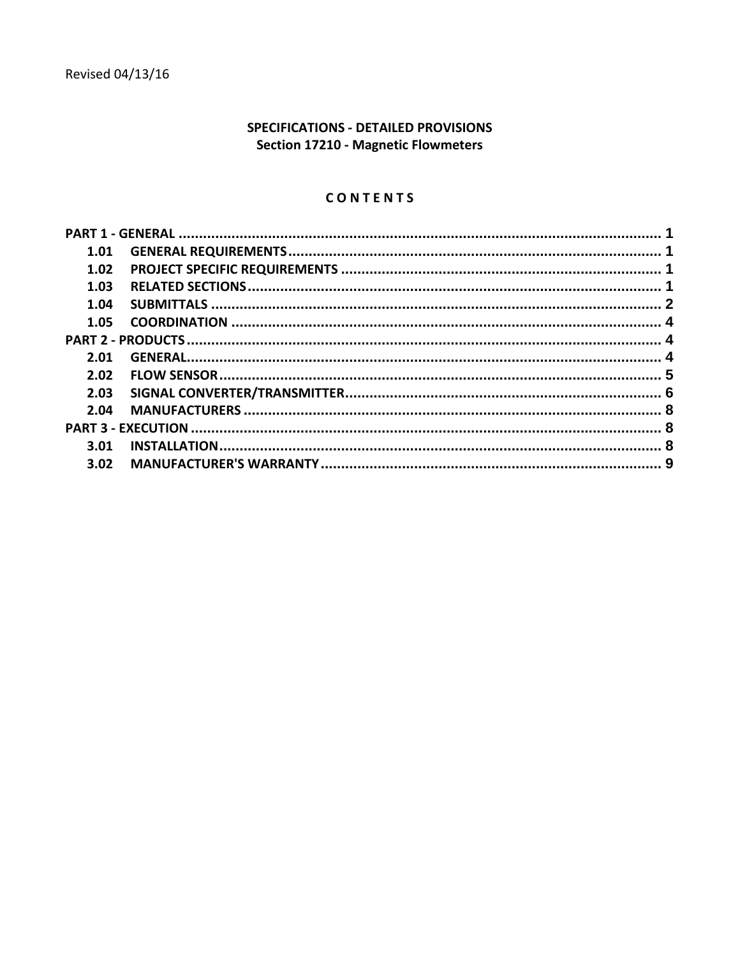# SPECIFICATIONS - DETAILED PROVISIONS **Section 17210 - Magnetic Flowmeters**

# CONTENTS

| 1.01 |  |
|------|--|
| 1.02 |  |
| 1.03 |  |
| 1.04 |  |
| 1.05 |  |
|      |  |
| 2.01 |  |
| 2.02 |  |
| 2.03 |  |
| 2.04 |  |
|      |  |
| 3.01 |  |
| 3.02 |  |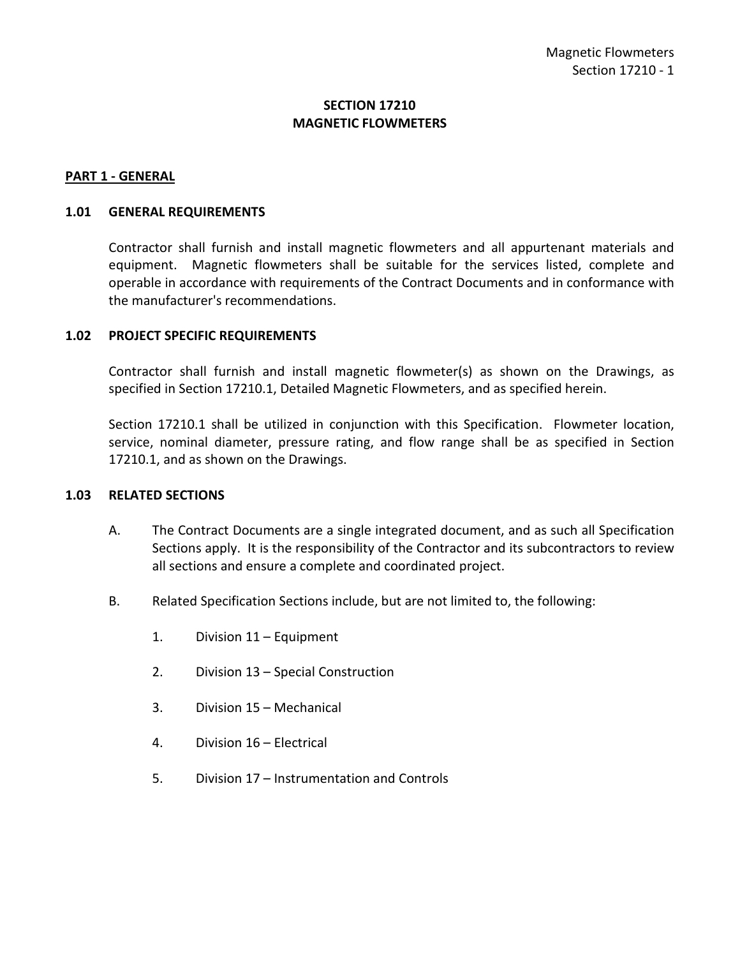## **SECTION 17210 MAGNETIC FLOWMETERS**

#### <span id="page-2-0"></span>**PART 1 - GENERAL**

#### <span id="page-2-1"></span>**1.01 GENERAL REQUIREMENTS**

Contractor shall furnish and install magnetic flowmeters and all appurtenant materials and equipment. Magnetic flowmeters shall be suitable for the services listed, complete and operable in accordance with requirements of the Contract Documents and in conformance with the manufacturer's recommendations.

#### <span id="page-2-2"></span>**1.02 PROJECT SPECIFIC REQUIREMENTS**

Contractor shall furnish and install magnetic flowmeter(s) as shown on the Drawings, as specified in Section 17210.1, Detailed Magnetic Flowmeters, and as specified herein.

Section 17210.1 shall be utilized in conjunction with this Specification. Flowmeter location, service, nominal diameter, pressure rating, and flow range shall be as specified in Section 17210.1, and as shown on the Drawings.

#### <span id="page-2-3"></span>**1.03 RELATED SECTIONS**

- A. The Contract Documents are a single integrated document, and as such all Specification Sections apply. It is the responsibility of the Contractor and its subcontractors to review all sections and ensure a complete and coordinated project.
- B. Related Specification Sections include, but are not limited to, the following:
	- 1. Division 11 Equipment
	- 2. Division 13 Special Construction
	- 3. Division 15 Mechanical
	- 4. Division 16 Electrical
	- 5. Division 17 Instrumentation and Controls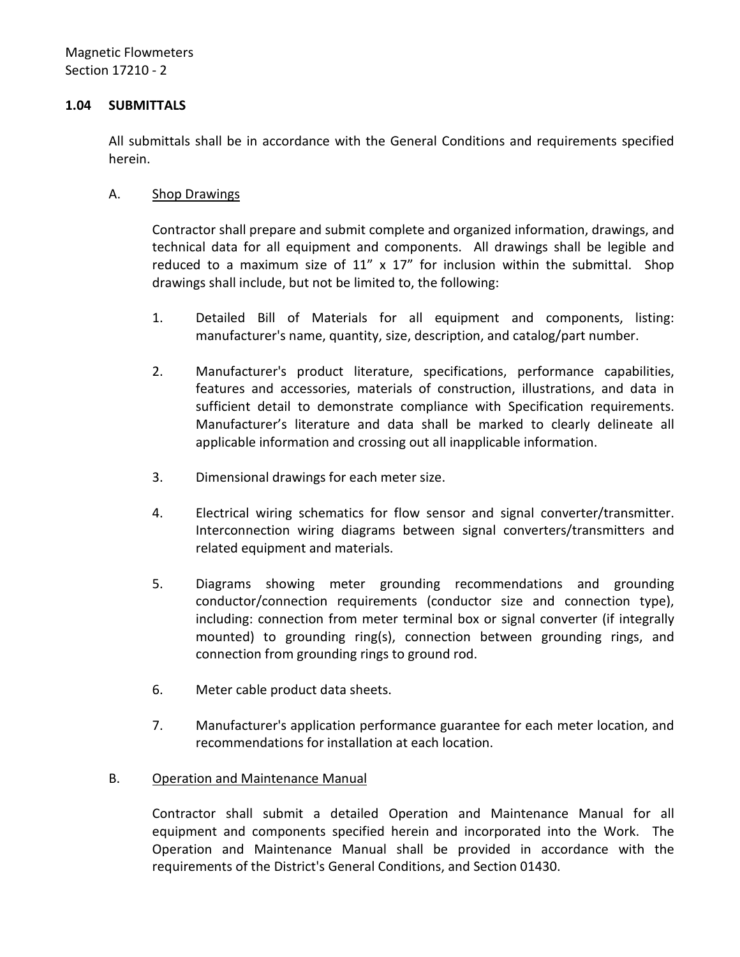### <span id="page-3-0"></span>**1.04 SUBMITTALS**

All submittals shall be in accordance with the General Conditions and requirements specified herein.

### A. Shop Drawings

Contractor shall prepare and submit complete and organized information, drawings, and technical data for all equipment and components. All drawings shall be legible and reduced to a maximum size of  $11''$  x  $17''$  for inclusion within the submittal. Shop drawings shall include, but not be limited to, the following:

- 1. Detailed Bill of Materials for all equipment and components, listing: manufacturer's name, quantity, size, description, and catalog/part number.
- 2. Manufacturer's product literature, specifications, performance capabilities, features and accessories, materials of construction, illustrations, and data in sufficient detail to demonstrate compliance with Specification requirements. Manufacturer's literature and data shall be marked to clearly delineate all applicable information and crossing out all inapplicable information.
- 3. Dimensional drawings for each meter size.
- 4. Electrical wiring schematics for flow sensor and signal converter/transmitter. Interconnection wiring diagrams between signal converters/transmitters and related equipment and materials.
- 5. Diagrams showing meter grounding recommendations and grounding conductor/connection requirements (conductor size and connection type), including: connection from meter terminal box or signal converter (if integrally mounted) to grounding ring(s), connection between grounding rings, and connection from grounding rings to ground rod.
- 6. Meter cable product data sheets.
- 7. Manufacturer's application performance guarantee for each meter location, and recommendations for installation at each location.

## B. Operation and Maintenance Manual

Contractor shall submit a detailed Operation and Maintenance Manual for all equipment and components specified herein and incorporated into the Work. The Operation and Maintenance Manual shall be provided in accordance with the requirements of the District's General Conditions, and Section 01430.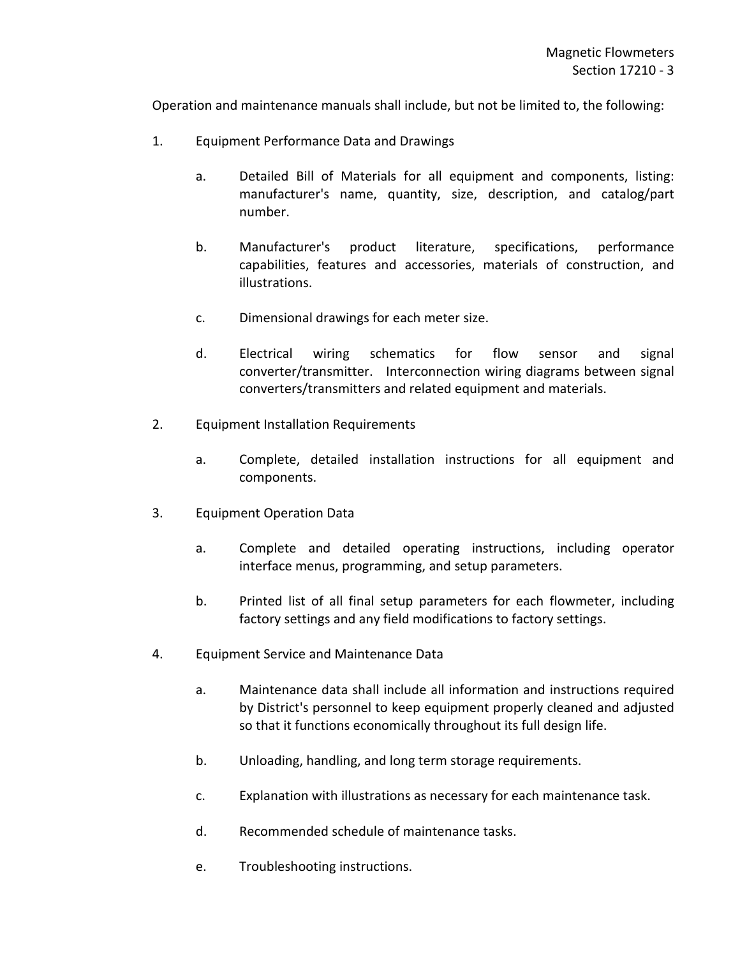Operation and maintenance manuals shall include, but not be limited to, the following:

- 1. Equipment Performance Data and Drawings
	- a. Detailed Bill of Materials for all equipment and components, listing: manufacturer's name, quantity, size, description, and catalog/part number.
	- b. Manufacturer's product literature, specifications, performance capabilities, features and accessories, materials of construction, and illustrations.
	- c. Dimensional drawings for each meter size.
	- d. Electrical wiring schematics for flow sensor and signal converter/transmitter. Interconnection wiring diagrams between signal converters/transmitters and related equipment and materials.
- 2. Equipment Installation Requirements
	- a. Complete, detailed installation instructions for all equipment and components.
- 3. Equipment Operation Data
	- a. Complete and detailed operating instructions, including operator interface menus, programming, and setup parameters.
	- b. Printed list of all final setup parameters for each flowmeter, including factory settings and any field modifications to factory settings.
- 4. Equipment Service and Maintenance Data
	- a. Maintenance data shall include all information and instructions required by District's personnel to keep equipment properly cleaned and adjusted so that it functions economically throughout its full design life.
	- b. Unloading, handling, and long term storage requirements.
	- c. Explanation with illustrations as necessary for each maintenance task.
	- d. Recommended schedule of maintenance tasks.
	- e. Troubleshooting instructions.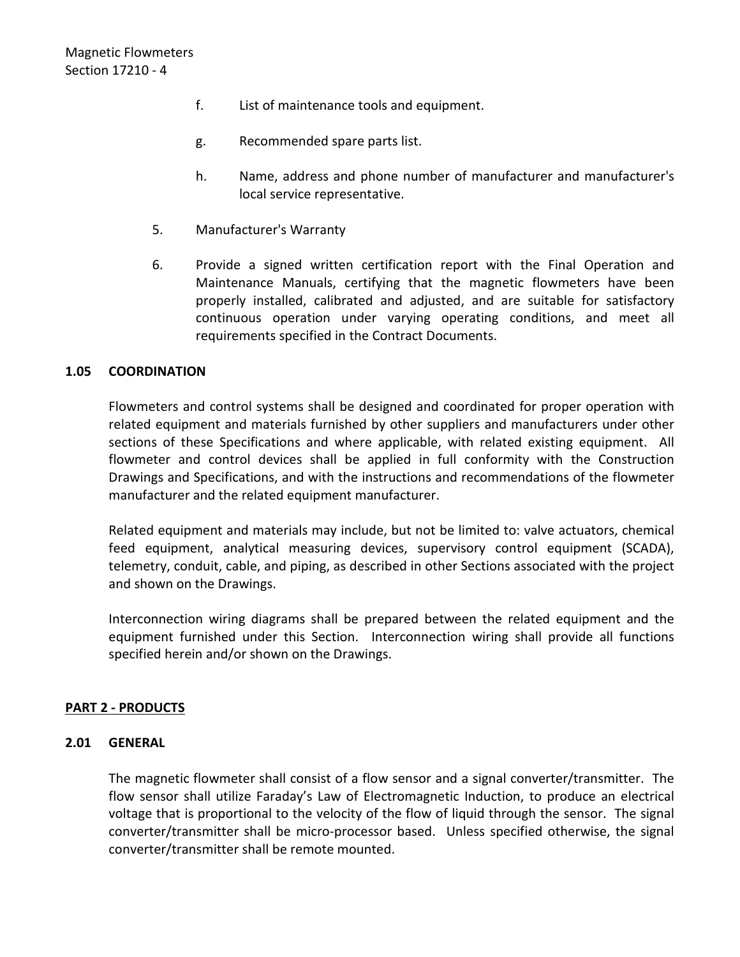- f. List of maintenance tools and equipment.
- g. Recommended spare parts list.
- h. Name, address and phone number of manufacturer and manufacturer's local service representative.
- 5. Manufacturer's Warranty
- 6. Provide a signed written certification report with the Final Operation and Maintenance Manuals, certifying that the magnetic flowmeters have been properly installed, calibrated and adjusted, and are suitable for satisfactory continuous operation under varying operating conditions, and meet all requirements specified in the Contract Documents.

## <span id="page-5-0"></span>**1.05 COORDINATION**

Flowmeters and control systems shall be designed and coordinated for proper operation with related equipment and materials furnished by other suppliers and manufacturers under other sections of these Specifications and where applicable, with related existing equipment. All flowmeter and control devices shall be applied in full conformity with the Construction Drawings and Specifications, and with the instructions and recommendations of the flowmeter manufacturer and the related equipment manufacturer.

Related equipment and materials may include, but not be limited to: valve actuators, chemical feed equipment, analytical measuring devices, supervisory control equipment (SCADA), telemetry, conduit, cable, and piping, as described in other Sections associated with the project and shown on the Drawings.

Interconnection wiring diagrams shall be prepared between the related equipment and the equipment furnished under this Section. Interconnection wiring shall provide all functions specified herein and/or shown on the Drawings.

## <span id="page-5-1"></span>**PART 2 - PRODUCTS**

#### <span id="page-5-2"></span>**2.01 GENERAL**

The magnetic flowmeter shall consist of a flow sensor and a signal converter/transmitter. The flow sensor shall utilize Faraday's Law of Electromagnetic Induction, to produce an electrical voltage that is proportional to the velocity of the flow of liquid through the sensor. The signal converter/transmitter shall be micro-processor based. Unless specified otherwise, the signal converter/transmitter shall be remote mounted.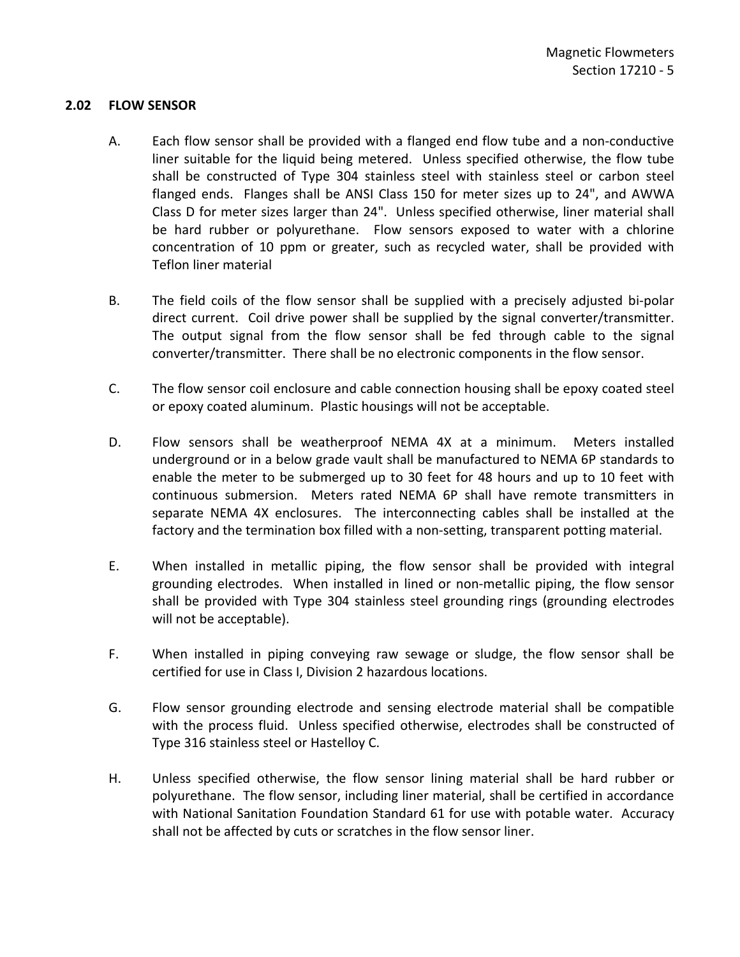## <span id="page-6-0"></span>**2.02 FLOW SENSOR**

- A. Each flow sensor shall be provided with a flanged end flow tube and a non-conductive liner suitable for the liquid being metered. Unless specified otherwise, the flow tube shall be constructed of Type 304 stainless steel with stainless steel or carbon steel flanged ends. Flanges shall be ANSI Class 150 for meter sizes up to 24", and AWWA Class D for meter sizes larger than 24". Unless specified otherwise, liner material shall be hard rubber or polyurethane. Flow sensors exposed to water with a chlorine concentration of 10 ppm or greater, such as recycled water, shall be provided with Teflon liner material
- B. The field coils of the flow sensor shall be supplied with a precisely adjusted bi-polar direct current. Coil drive power shall be supplied by the signal converter/transmitter. The output signal from the flow sensor shall be fed through cable to the signal converter/transmitter. There shall be no electronic components in the flow sensor.
- C. The flow sensor coil enclosure and cable connection housing shall be epoxy coated steel or epoxy coated aluminum. Plastic housings will not be acceptable.
- D. Flow sensors shall be weatherproof NEMA 4X at a minimum. Meters installed underground or in a below grade vault shall be manufactured to NEMA 6P standards to enable the meter to be submerged up to 30 feet for 48 hours and up to 10 feet with continuous submersion. Meters rated NEMA 6P shall have remote transmitters in separate NEMA 4X enclosures. The interconnecting cables shall be installed at the factory and the termination box filled with a non-setting, transparent potting material.
- E. When installed in metallic piping, the flow sensor shall be provided with integral grounding electrodes. When installed in lined or non-metallic piping, the flow sensor shall be provided with Type 304 stainless steel grounding rings (grounding electrodes will not be acceptable).
- F. When installed in piping conveying raw sewage or sludge, the flow sensor shall be certified for use in Class I, Division 2 hazardous locations.
- G. Flow sensor grounding electrode and sensing electrode material shall be compatible with the process fluid. Unless specified otherwise, electrodes shall be constructed of Type 316 stainless steel or Hastelloy C.
- H. Unless specified otherwise, the flow sensor lining material shall be hard rubber or polyurethane. The flow sensor, including liner material, shall be certified in accordance with National Sanitation Foundation Standard 61 for use with potable water. Accuracy shall not be affected by cuts or scratches in the flow sensor liner.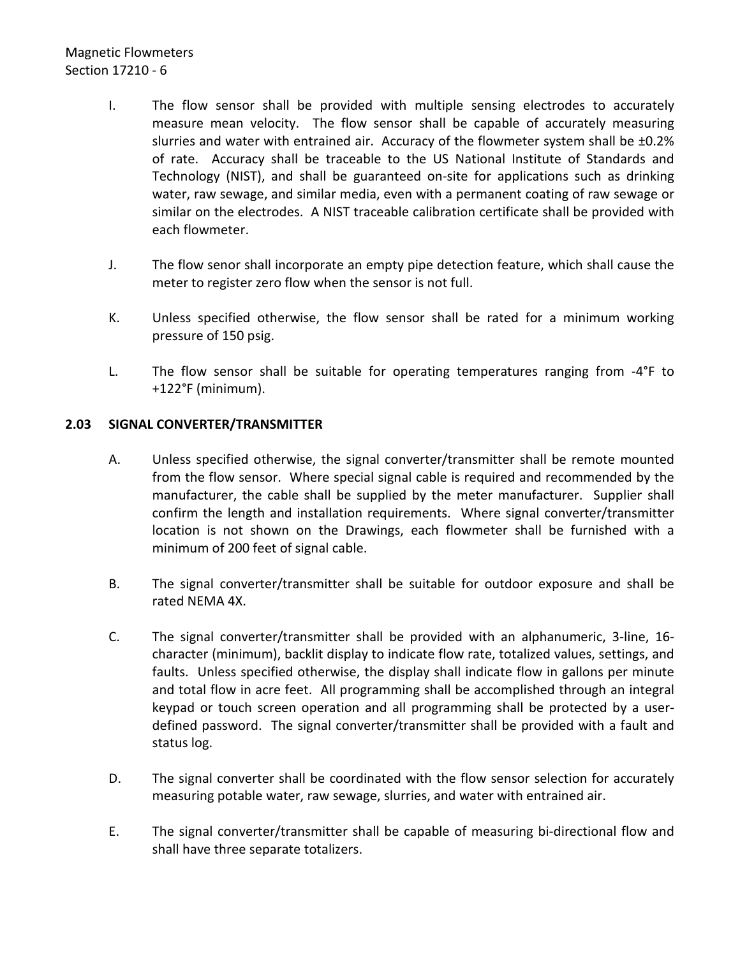# Magnetic Flowmeters Section 17210 - 6

- I. The flow sensor shall be provided with multiple sensing electrodes to accurately measure mean velocity. The flow sensor shall be capable of accurately measuring slurries and water with entrained air. Accuracy of the flowmeter system shall be ±0.2% of rate. Accuracy shall be traceable to the US National Institute of Standards and Technology (NIST), and shall be guaranteed on-site for applications such as drinking water, raw sewage, and similar media, even with a permanent coating of raw sewage or similar on the electrodes. A NIST traceable calibration certificate shall be provided with each flowmeter.
- J. The flow senor shall incorporate an empty pipe detection feature, which shall cause the meter to register zero flow when the sensor is not full.
- K. Unless specified otherwise, the flow sensor shall be rated for a minimum working pressure of 150 psig.
- L. The flow sensor shall be suitable for operating temperatures ranging from -4°F to +122°F (minimum).

## <span id="page-7-0"></span>**2.03 SIGNAL CONVERTER/TRANSMITTER**

- A. Unless specified otherwise, the signal converter/transmitter shall be remote mounted from the flow sensor. Where special signal cable is required and recommended by the manufacturer, the cable shall be supplied by the meter manufacturer. Supplier shall confirm the length and installation requirements. Where signal converter/transmitter location is not shown on the Drawings, each flowmeter shall be furnished with a minimum of 200 feet of signal cable.
- B. The signal converter/transmitter shall be suitable for outdoor exposure and shall be rated NEMA 4X.
- C. The signal converter/transmitter shall be provided with an alphanumeric, 3-line, 16 character (minimum), backlit display to indicate flow rate, totalized values, settings, and faults. Unless specified otherwise, the display shall indicate flow in gallons per minute and total flow in acre feet. All programming shall be accomplished through an integral keypad or touch screen operation and all programming shall be protected by a userdefined password. The signal converter/transmitter shall be provided with a fault and status log.
- D. The signal converter shall be coordinated with the flow sensor selection for accurately measuring potable water, raw sewage, slurries, and water with entrained air.
- E. The signal converter/transmitter shall be capable of measuring bi-directional flow and shall have three separate totalizers.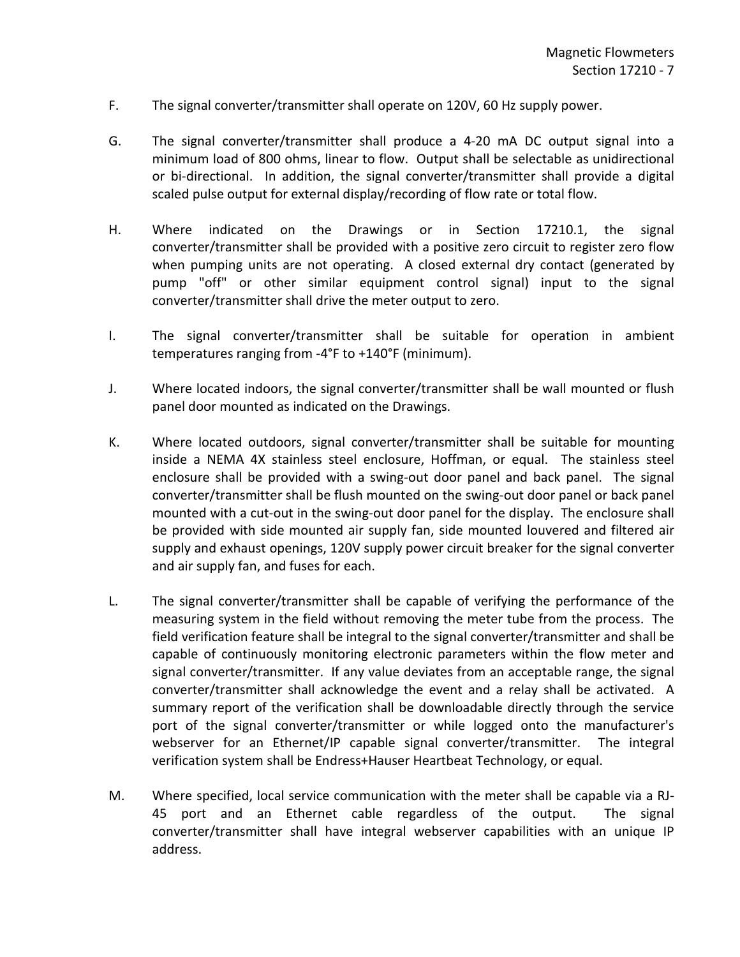- F. The signal converter/transmitter shall operate on 120V, 60 Hz supply power.
- G. The signal converter/transmitter shall produce a 4-20 mA DC output signal into a minimum load of 800 ohms, linear to flow. Output shall be selectable as unidirectional or bi-directional. In addition, the signal converter/transmitter shall provide a digital scaled pulse output for external display/recording of flow rate or total flow.
- H. Where indicated on the Drawings or in Section 17210.1, the signal converter/transmitter shall be provided with a positive zero circuit to register zero flow when pumping units are not operating. A closed external dry contact (generated by pump "off" or other similar equipment control signal) input to the signal converter/transmitter shall drive the meter output to zero.
- I. The signal converter/transmitter shall be suitable for operation in ambient temperatures ranging from -4°F to +140°F (minimum).
- J. Where located indoors, the signal converter/transmitter shall be wall mounted or flush panel door mounted as indicated on the Drawings.
- K. Where located outdoors, signal converter/transmitter shall be suitable for mounting inside a NEMA 4X stainless steel enclosure, Hoffman, or equal. The stainless steel enclosure shall be provided with a swing-out door panel and back panel. The signal converter/transmitter shall be flush mounted on the swing-out door panel or back panel mounted with a cut-out in the swing-out door panel for the display. The enclosure shall be provided with side mounted air supply fan, side mounted louvered and filtered air supply and exhaust openings, 120V supply power circuit breaker for the signal converter and air supply fan, and fuses for each.
- L. The signal converter/transmitter shall be capable of verifying the performance of the measuring system in the field without removing the meter tube from the process. The field verification feature shall be integral to the signal converter/transmitter and shall be capable of continuously monitoring electronic parameters within the flow meter and signal converter/transmitter. If any value deviates from an acceptable range, the signal converter/transmitter shall acknowledge the event and a relay shall be activated. A summary report of the verification shall be downloadable directly through the service port of the signal converter/transmitter or while logged onto the manufacturer's webserver for an Ethernet/IP capable signal converter/transmitter. The integral verification system shall be Endress+Hauser Heartbeat Technology, or equal.
- M. Where specified, local service communication with the meter shall be capable via a RJ-45 port and an Ethernet cable regardless of the output. The signal converter/transmitter shall have integral webserver capabilities with an unique IP address.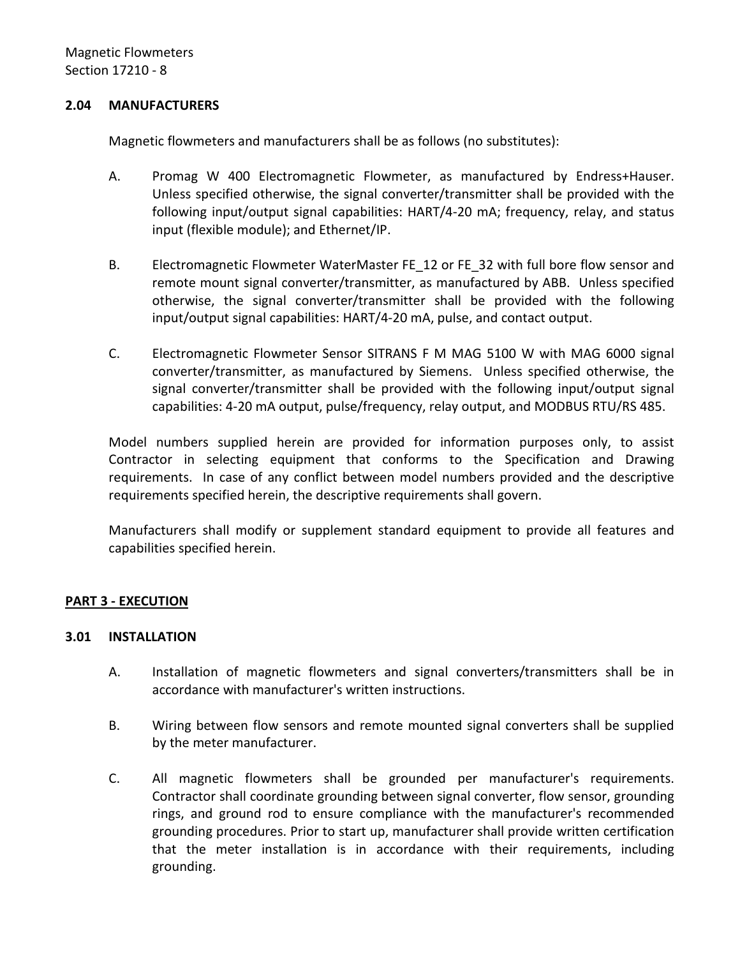#### <span id="page-9-0"></span>**2.04 MANUFACTURERS**

Magnetic flowmeters and manufacturers shall be as follows (no substitutes):

- A. Promag W 400 Electromagnetic Flowmeter, as manufactured by Endress+Hauser. Unless specified otherwise, the signal converter/transmitter shall be provided with the following input/output signal capabilities: HART/4-20 mA; frequency, relay, and status input (flexible module); and Ethernet/IP.
- B. Electromagnetic Flowmeter WaterMaster FE\_12 or FE\_32 with full bore flow sensor and remote mount signal converter/transmitter, as manufactured by ABB. Unless specified otherwise, the signal converter/transmitter shall be provided with the following input/output signal capabilities: HART/4-20 mA, pulse, and contact output.
- C. Electromagnetic Flowmeter Sensor SITRANS F M MAG 5100 W with MAG 6000 signal converter/transmitter, as manufactured by Siemens. Unless specified otherwise, the signal converter/transmitter shall be provided with the following input/output signal capabilities: 4-20 mA output, pulse/frequency, relay output, and MODBUS RTU/RS 485.

Model numbers supplied herein are provided for information purposes only, to assist Contractor in selecting equipment that conforms to the Specification and Drawing requirements. In case of any conflict between model numbers provided and the descriptive requirements specified herein, the descriptive requirements shall govern.

Manufacturers shall modify or supplement standard equipment to provide all features and capabilities specified herein.

## <span id="page-9-1"></span>**PART 3 - EXECUTION**

#### <span id="page-9-2"></span>**3.01 INSTALLATION**

- A. Installation of magnetic flowmeters and signal converters/transmitters shall be in accordance with manufacturer's written instructions.
- B. Wiring between flow sensors and remote mounted signal converters shall be supplied by the meter manufacturer.
- C. All magnetic flowmeters shall be grounded per manufacturer's requirements. Contractor shall coordinate grounding between signal converter, flow sensor, grounding rings, and ground rod to ensure compliance with the manufacturer's recommended grounding procedures. Prior to start up, manufacturer shall provide written certification that the meter installation is in accordance with their requirements, including grounding.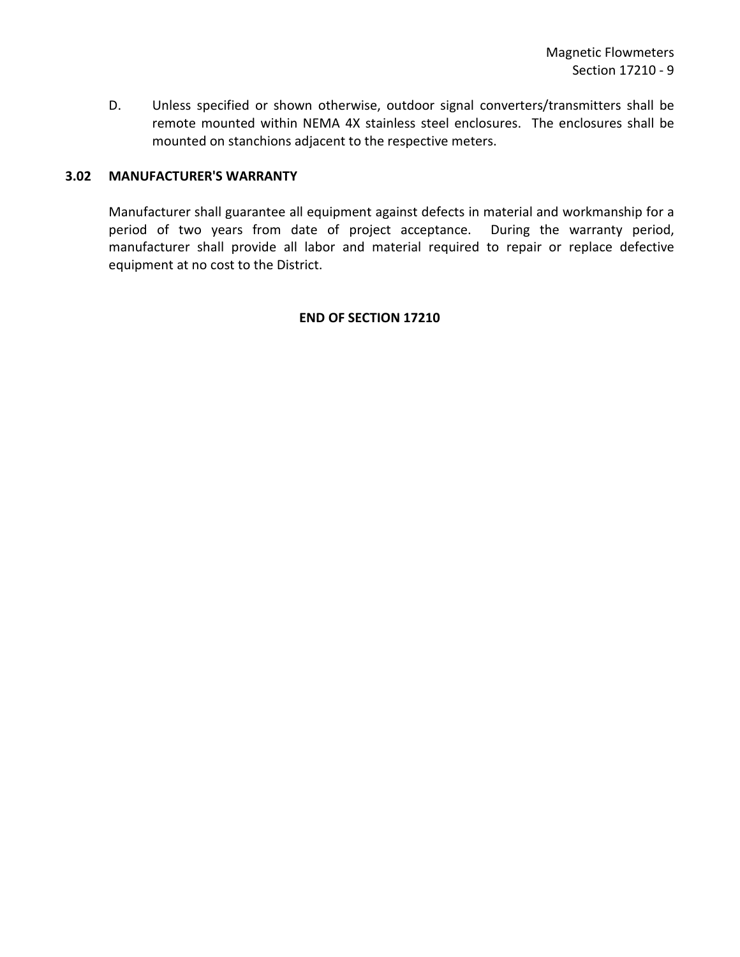D. Unless specified or shown otherwise, outdoor signal converters/transmitters shall be remote mounted within NEMA 4X stainless steel enclosures. The enclosures shall be mounted on stanchions adjacent to the respective meters.

### <span id="page-10-0"></span>**3.02 MANUFACTURER'S WARRANTY**

Manufacturer shall guarantee all equipment against defects in material and workmanship for a period of two years from date of project acceptance. During the warranty period, manufacturer shall provide all labor and material required to repair or replace defective equipment at no cost to the District.

#### **END OF SECTION 17210**